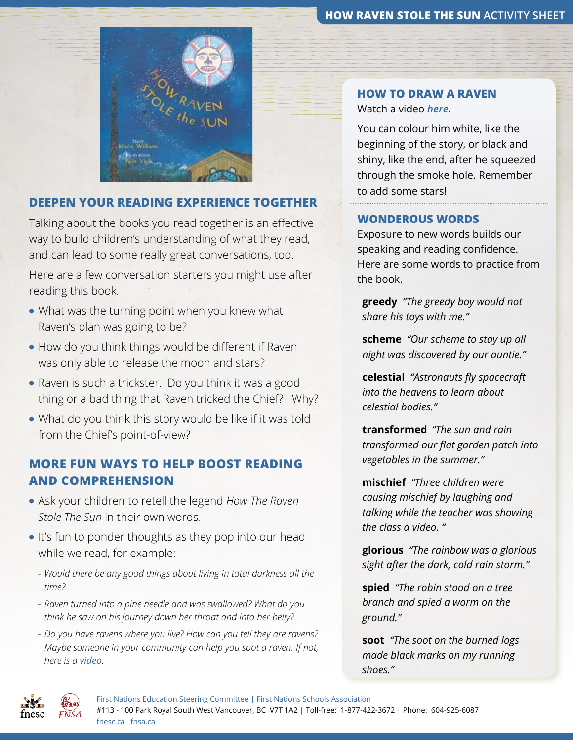#### **HOW RAVEN STOLE THE SUN ACTIVITY SHEET**



### **DEEPEN YOUR READING EXPERIENCE TOGETHER**

Talking about the books you read together is an effective way to build children's understanding of what they read, and can lead to some really great conversations, too.

Here are a few conversation starters you might use after reading this book.

- What was the turning point when you knew what Raven's plan was going to be?
- How do you think things would be different if Raven was only able to release the moon and stars?
- Raven is such a trickster. Do you think it was a good thing or a bad thing that Raven tricked the Chief? Why?
- What do you think this story would be like if it was told from the Chief's point-of-view?

# **MORE FUN WAYS TO HELP BOOST READING AND COMPREHENSION**

- Ask your children to retell the legend *How The Raven Stole The Sun* in their own words.
- It's fun to ponder thoughts as they pop into our head while we read, for example:
	- *Would there be any good things about living in total darkness all the time?*
	- *Raven turned into a pine needle and was swallowed? What do you think he saw on his journey down her throat and into her belly?*
	- *Do you have ravens where you live? How can you tell they are ravens? Maybe someone in your community can help you spot a raven. If not, here is a [video](https://www.youtube.com/watch?v=guBwMUAWAJI).*

### **HOW TO DRAW A RAVEN** Watch a video *[here](https://www.youtube.com/watch?v=B_9pgOXybxU)*.

You can colour him white, like the beginning of the story, or black and shiny, like the end, after he squeezed through the smoke hole. Remember to add some stars!

### **WONDEROUS WORDS**

Exposure to new words builds our speaking and reading confidence. Here are some words to practice from the book.

**greedy** *"The greedy boy would not share his toys with me."*

**scheme** *"Our scheme to stay up all night was discovered by our auntie."*

**celestial** *"Astronauts fly spacecraft into the heavens to learn about celestial bodies."*

**transformed** *"The sun and rain transformed our flat garden patch into vegetables in the summer."*

**mischief** *"Three children were causing mischief by laughing and talking while the teacher was showing the class a video. "* 

**glorious** *"The rainbow was a glorious sight after the dark, cold rain storm."*

**spied** *"The robin stood on a tree branch and spied a worm on the ground."* 

**soot** *"The soot on the burned logs made black marks on my running shoes."*